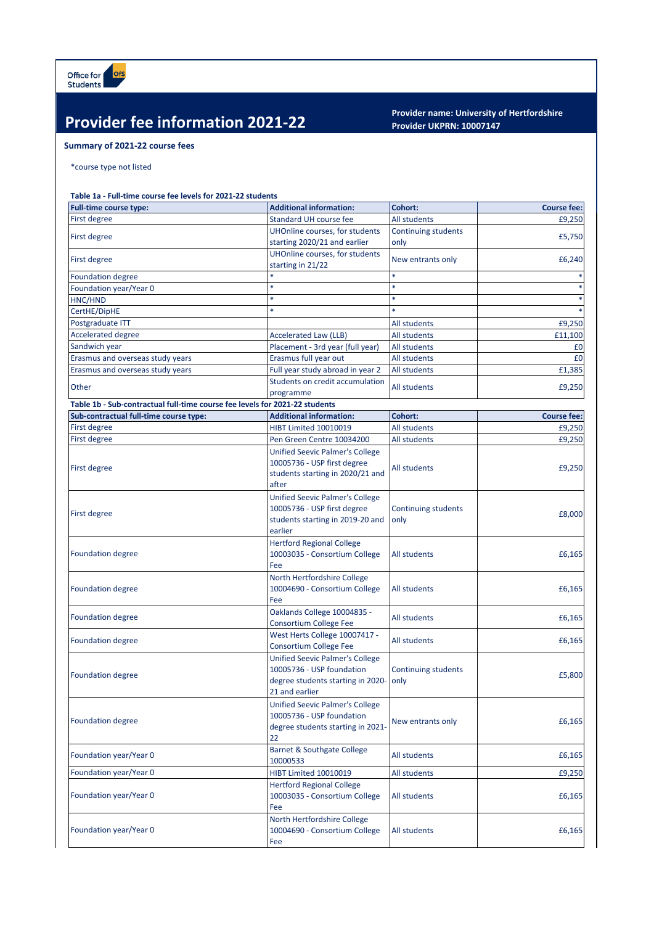## **Provider fee information 2021-22 Provider name: University of Hertfordshire**<br>Provider UKPRN: 10007147

## **Provider UKPRN: 10007147**

## **Summary of 2021-22 course fees**

\*course type not listed

## **Table 1a - Full-time course fee levels for 2021-22 students**

| <b>Full-time course type:</b>                                               | <b>Additional information:</b>                                                                                             | Cohort:                            | <b>Course fee:</b> |
|-----------------------------------------------------------------------------|----------------------------------------------------------------------------------------------------------------------------|------------------------------------|--------------------|
| First degree                                                                | <b>Standard UH course fee</b>                                                                                              | All students                       | £9,250             |
| <b>First degree</b>                                                         | UHOnline courses, for students                                                                                             | Continuing students                | £5,750             |
|                                                                             | starting 2020/21 and earlier                                                                                               | only                               |                    |
| First degree                                                                | UHOnline courses, for students                                                                                             | New entrants only                  | £6,240             |
|                                                                             | starting in 21/22                                                                                                          |                                    |                    |
| <b>Foundation degree</b>                                                    |                                                                                                                            |                                    |                    |
| Foundation year/Year 0                                                      | $\ast$                                                                                                                     | ×                                  |                    |
| HNC/HND                                                                     |                                                                                                                            |                                    |                    |
| CertHE/DipHE                                                                | $\ast$                                                                                                                     |                                    |                    |
| Postgraduate ITT                                                            |                                                                                                                            | All students                       | £9,250             |
| <b>Accelerated degree</b>                                                   | <b>Accelerated Law (LLB)</b>                                                                                               | All students                       | £11,100            |
| Sandwich year                                                               | Placement - 3rd year (full year)                                                                                           | All students                       | £0                 |
| Erasmus and overseas study years                                            | Erasmus full year out                                                                                                      | All students                       | £0                 |
| Erasmus and overseas study years                                            | Full year study abroad in year 2                                                                                           | All students                       | £1,385             |
| Other                                                                       | Students on credit accumulation                                                                                            | All students                       | £9,250             |
|                                                                             | programme                                                                                                                  |                                    |                    |
| Table 1b - Sub-contractual full-time course fee levels for 2021-22 students |                                                                                                                            |                                    |                    |
| Sub-contractual full-time course type:                                      | <b>Additional information:</b>                                                                                             | Cohort:                            | <b>Course fee:</b> |
| <b>First degree</b>                                                         | HIBT Limited 10010019                                                                                                      | All students                       | £9,250             |
| First degree                                                                | Pen Green Centre 10034200                                                                                                  | All students                       | £9,250             |
| First degree                                                                | <b>Unified Seevic Palmer's College</b><br>10005736 - USP first degree<br>students starting in 2020/21 and<br>after         | All students                       | £9,250             |
| First degree                                                                | <b>Unified Seevic Palmer's College</b><br>10005736 - USP first degree<br>students starting in 2019-20 and<br>earlier       | <b>Continuing students</b><br>only | £8,000             |
| <b>Foundation degree</b>                                                    | <b>Hertford Regional College</b><br>10003035 - Consortium College<br>Fee                                                   | All students                       | £6,165             |
| <b>Foundation degree</b>                                                    | North Hertfordshire College<br>10004690 - Consortium College<br>Fee                                                        | All students                       | £6,165             |
| <b>Foundation degree</b>                                                    | Oaklands College 10004835 -<br><b>Consortium College Fee</b>                                                               | All students                       | £6,165             |
| <b>Foundation degree</b>                                                    | West Herts College 10007417 -<br><b>Consortium College Fee</b>                                                             | All students                       | £6,165             |
| <b>Foundation degree</b>                                                    | <b>Unified Seevic Palmer's College</b><br>10005736 - USP foundation<br>degree students starting in 2020-<br>21 and earlier | <b>Continuing students</b><br>only | £5,800             |
| <b>Foundation degree</b>                                                    | <b>Unified Seevic Palmer's College</b><br>10005736 - USP foundation<br>degree students starting in 2021-<br>22             | New entrants only                  | £6,165             |
| Foundation year/Year 0                                                      | <b>Barnet &amp; Southgate College</b><br>10000533                                                                          | All students                       | £6,165             |
| Foundation year/Year 0                                                      | HIBT Limited 10010019                                                                                                      | All students                       | £9,250             |
| Foundation year/Year 0                                                      | <b>Hertford Regional College</b><br>10003035 - Consortium College<br>Fee                                                   | All students                       | £6,165             |
| Foundation year/Year 0                                                      | North Hertfordshire College<br>10004690 - Consortium College<br>Fee                                                        | All students                       | £6,165             |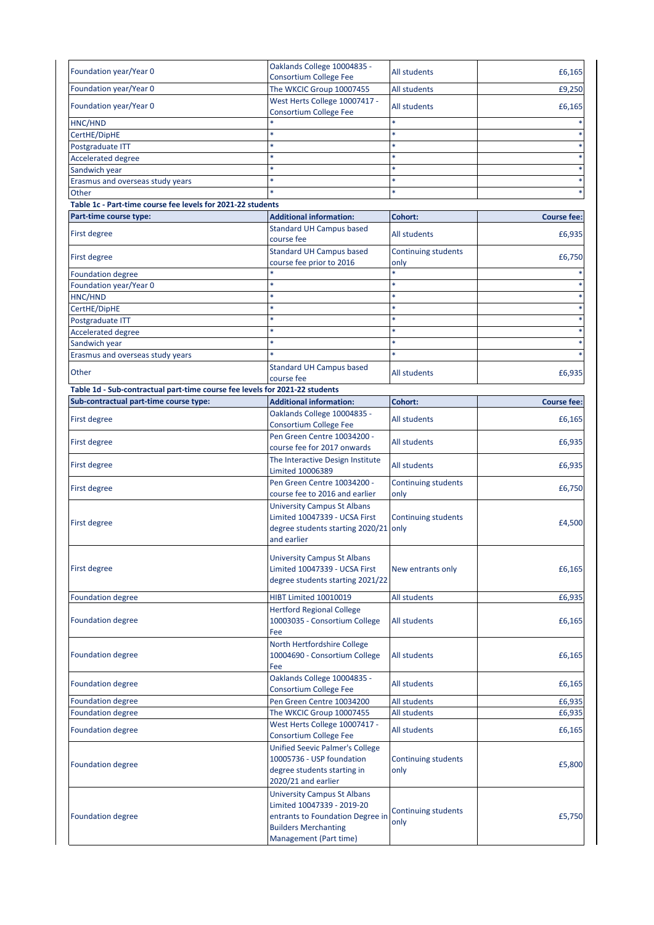| Foundation year/Year 0                                                      | Oaklands College 10004835 -                                    | All students               | £6,165             |
|-----------------------------------------------------------------------------|----------------------------------------------------------------|----------------------------|--------------------|
|                                                                             | <b>Consortium College Fee</b>                                  |                            |                    |
| Foundation year/Year 0                                                      | The WKCIC Group 10007455                                       | <b>All students</b>        | £9,250             |
| Foundation year/Year 0                                                      | West Herts College 10007417 -<br><b>Consortium College Fee</b> | All students               | £6,165             |
| HNC/HND                                                                     |                                                                |                            |                    |
| CertHE/DipHE                                                                |                                                                | $\ast$                     |                    |
| Postgraduate ITT                                                            |                                                                |                            |                    |
| <b>Accelerated degree</b>                                                   |                                                                |                            |                    |
| Sandwich year                                                               |                                                                |                            |                    |
| Erasmus and overseas study years                                            | ×                                                              | $\ast$                     |                    |
| Other                                                                       |                                                                | $\ast$                     |                    |
| Table 1c - Part-time course fee levels for 2021-22 students                 |                                                                |                            |                    |
| Part-time course type:                                                      | <b>Additional information:</b>                                 | Cohort:                    | <b>Course fee:</b> |
|                                                                             | <b>Standard UH Campus based</b>                                |                            |                    |
| First degree                                                                | course fee                                                     | <b>All students</b>        | £6,935             |
| First degree                                                                | <b>Standard UH Campus based</b>                                | Continuing students        | £6,750             |
|                                                                             | course fee prior to 2016                                       | only                       |                    |
| <b>Foundation degree</b>                                                    |                                                                | *                          |                    |
| Foundation year/Year 0                                                      | ×                                                              | $\ast$                     |                    |
| HNC/HND                                                                     | $\ast$                                                         |                            |                    |
| CertHE/DipHE                                                                |                                                                |                            |                    |
| Postgraduate ITT                                                            | $\ast$                                                         |                            |                    |
| <b>Accelerated degree</b>                                                   |                                                                |                            |                    |
| Sandwich year                                                               | *                                                              | $\ast$                     |                    |
| Erasmus and overseas study years                                            |                                                                |                            |                    |
| Other                                                                       | <b>Standard UH Campus based</b>                                | All students               | £6,935             |
|                                                                             | course fee                                                     |                            |                    |
| Table 1d - Sub-contractual part-time course fee levels for 2021-22 students |                                                                |                            |                    |
| Sub-contractual part-time course type:                                      | <b>Additional information:</b>                                 | <b>Cohort:</b>             | <b>Course fee:</b> |
| First degree                                                                | Oaklands College 10004835 -<br><b>Consortium College Fee</b>   | All students               | £6,165             |
|                                                                             | Pen Green Centre 10034200 -                                    |                            |                    |
| First degree                                                                | course fee for 2017 onwards                                    | All students               | £6,935             |
|                                                                             | The Interactive Design Institute                               |                            |                    |
| First degree                                                                | Limited 10006389                                               | All students               | £6,935             |
|                                                                             | Pen Green Centre 10034200 -                                    | <b>Continuing students</b> |                    |
| First degree                                                                | course fee to 2016 and earlier                                 | only                       | £6,750             |
|                                                                             | <b>University Campus St Albans</b>                             |                            |                    |
|                                                                             | Limited 10047339 - UCSA First                                  | Continuing students        |                    |
| First degree                                                                | degree students starting 2020/21 only                          |                            | £4,500             |
|                                                                             | and earlier                                                    |                            |                    |
|                                                                             |                                                                |                            |                    |
|                                                                             | <b>University Campus St Albans</b>                             |                            |                    |
| First degree                                                                | Limited 10047339 - UCSA First                                  | New entrants only          | £6,165             |
|                                                                             | degree students starting 2021/22                               |                            |                    |
| <b>Foundation degree</b>                                                    | <b>HIBT Limited 10010019</b>                                   | All students               | £6,935             |
|                                                                             | <b>Hertford Regional College</b>                               |                            |                    |
| <b>Foundation degree</b>                                                    | 10003035 - Consortium College                                  | All students               | £6,165             |
|                                                                             | Fee                                                            |                            |                    |
|                                                                             |                                                                |                            |                    |
|                                                                             | North Hertfordshire College                                    |                            |                    |
| <b>Foundation degree</b>                                                    | 10004690 - Consortium College                                  | All students               | £6,165             |
|                                                                             | Fee                                                            |                            |                    |
| Foundation degree                                                           | Oaklands College 10004835 -                                    | All students               | £6,165             |
|                                                                             | <b>Consortium College Fee</b>                                  |                            |                    |
| <b>Foundation degree</b>                                                    | Pen Green Centre 10034200                                      | All students               | £6,935             |
| <b>Foundation degree</b>                                                    | The WKCIC Group 10007455                                       | All students               | £6,935             |
| <b>Foundation degree</b>                                                    | West Herts College 10007417 -                                  | All students               | £6,165             |
|                                                                             | Consortium College Fee                                         |                            |                    |
|                                                                             | <b>Unified Seevic Palmer's College</b>                         |                            |                    |
|                                                                             | 10005736 - USP foundation                                      | <b>Continuing students</b> |                    |
| <b>Foundation degree</b>                                                    | degree students starting in                                    | only                       | £5,800             |
|                                                                             | 2020/21 and earlier                                            |                            |                    |
|                                                                             | <b>University Campus St Albans</b>                             |                            |                    |
|                                                                             | Limited 10047339 - 2019-20                                     |                            |                    |
| <b>Foundation degree</b>                                                    | entrants to Foundation Degree in                               | <b>Continuing students</b> | £5,750             |
|                                                                             | <b>Builders Merchanting</b>                                    | only                       |                    |
|                                                                             | Management (Part time)                                         |                            |                    |
|                                                                             |                                                                |                            |                    |